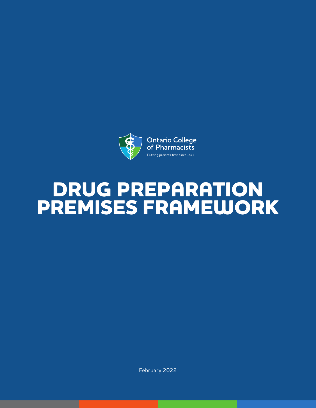

# **DRUG PREPARATION PREMISES FRAMEWORK**

February 2022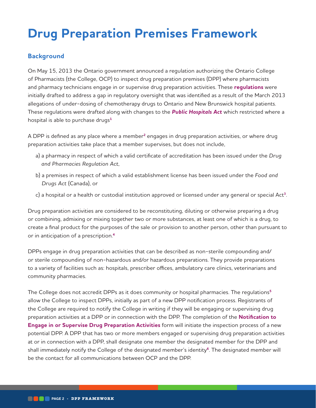# **Drug Preparation Premises Framework**

# **Background**

On May 15, 2013 the Ontario government announced a regulation authorizing the Ontario College of Pharmacists (the College, OCP) to inspect drug preparation premises (DPP) where pharmacists and pharmacy technicians engage in or supervise drug preparation activities. These **[regulations](https://www.ontario.ca/laws/regulation/940202#BK51)** were initially drafted to address a gap in regulatory oversight that was identified as a result of the March 2013 allegations of under-dosing of chemotherapy drugs to Ontario and New Brunswick hospital patients. These regulations were drafted along with changes to the *[Public Hospitals Act](https://www.ontario.ca/laws/statute/90p40)* which restricted where a hospital is able to purchase drugs**[1](#page-10-0)**

A DPP is defined as any place where a member**[2](#page-10-0)** engages in drug preparation activities, or where drug preparation activities take place that a member supervises, but does not include,

- a) a pharmacy in respect of which a valid certificate of accreditation has been issued under the *Drug and Pharmacies Regulation Act*,
- b) a premises in respect of which a valid establishment license has been issued under the *Food and Drugs Act* (Canada), or
- c) a hospital or a health or custodial institution approved or licensed under any general or special Act**[3](#page-2-0)**.

Drug preparation activities are considered to be reconstituting, diluting or otherwise preparing a drug or combining, admixing or mixing together two or more substances, at least one of which is a drug, to create a final product for the purposes of the sale or provision to another person, other than pursuant to or in anticipation of a prescription.**[4](#page-10-0)**

DPPs engage in drug preparation activities that can be described as non-sterile compounding and/ or sterile compounding of non-hazardous and/or hazardous preparations. They provide preparations to a variety of facilities such as: hospitals, prescriber offices, ambulatory care clinics, veterinarians and community pharmacies.

The College does not accredit DPPs as it does community or hospital pharmacies. The regulations**[5](#page-10-0)** allow the College to inspect DPPs, initially as part of a new DPP notification process. Registrants of the College are required to notify the College in writing if they will be engaging or supervising drug preparation activities at a DPP or in connection with the DPP. The completion of the **[Notification to](https://www.ocpinfo.com/wp-content/uploads/2019/03/Notification-Form-for-Drug-Preparation-Premises.pdf)  [Engage in or Supervise Drug Preparation Activities](https://www.ocpinfo.com/wp-content/uploads/2019/03/Notification-Form-for-Drug-Preparation-Premises.pdf)** form will initiate the inspection process of a new potential DPP. A DPP that has two or more members engaged or supervising drug preparation activities at or in connection with a DPP, shall designate one member the designated member for the DPP and shall immediately notify the College of the designated member's identity**[6](#page-10-0)**. The designated member will be the contact for all communications between OCP and the DPP.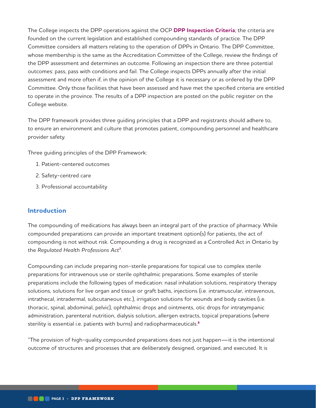<span id="page-2-0"></span>The College inspects the DPP operations against the OCP **[DPP Inspection Criteria](https://www.ocpinfo.com/library/practice-related/download/DPP%20Inspection%20Criteria.pdf)**; the criteria are founded on the current legislation and established compounding standards of practice. The DPP Committee considers all matters relating to the operation of DPPs in Ontario. The DPP Committee, whose membership is the same as the Accreditation Committee of the College, review the findings of the DPP assessment and determines an outcome. Following an inspection there are three potential outcomes: pass, pass with conditions and fail. The College inspects DPPs annually after the initial assessment and more often if, in the opinion of the College it is necessary or as ordered by the DPP Committee. Only those facilities that have been assessed and have met the specified criteria are entitled to operate in the province. The results of a DPP inspection are posted on the public register on the College website.

The DPP framework provides three guiding principles that a DPP and registrants should adhere to, to ensure an environment and culture that promotes patient, compounding personnel and healthcare provider safety.

Three guiding principles of the DPP Framework:

- 1. Patient-centered outcomes
- 2. Safety-centred care
- 3. Professional accountability

## **Introduction**

The compounding of medications has always been an integral part of the practice of pharmacy. While compounded preparations can provide an important treatment option(s) for patients, the act of compounding is not without risk. Compounding a drug is recognized as a Controlled Act in Ontario by the *Regulated Health Professions Act***[7](#page-10-0)**.

Compounding can include preparing non-sterile preparations for topical use to complex sterile preparations for intravenous use or sterile ophthalmic preparations. Some examples of sterile preparations include the following types of medication: nasal inhalation solutions, respiratory therapy solutions, solutions for live organ and tissue or graft baths, injections (i.e. intramuscular, intravenous, intrathecal, intradermal, subcutaneous etc.), irrigation solutions for wounds and body cavities (i.e. thoracic, spinal, abdominal, pelvic), ophthalmic drops and ointments, otic drops for intratympanic administration, parenteral nutrition, dialysis solution, allergen extracts, topical preparations (where sterility is essential i.e. patients with burns) and radiopharmaceuticals.**[8](#page-10-0)**

"The provision of high-quality compounded preparations does not just happen—it is the intentional outcome of structures and processes that are deliberately designed, organized, and executed. It is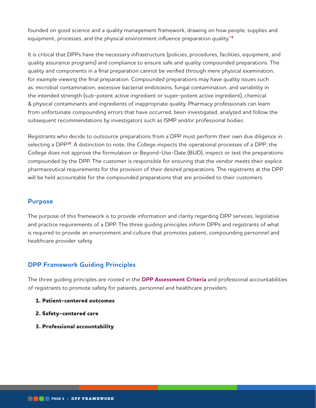founded on good science and a quality management framework, drawing on how people, supplies and equipment, processes, and the physical environment influence preparation quality."**[9](#page-10-0)**

It is critical that DPPs have the necessary infrastructure (policies, procedures, facilities, equipment, and quality assurance programs) and compliance to ensure safe and quality compounded preparations. The quality and components in a final preparation cannot be verified through mere physical examination, for example viewing the final preparation. Compounded preparations may have quality issues such as: microbial contamination, excessive bacterial endotoxins, fungal contamination, and variability in the intended strength (sub-potent active ingredient or super-potent active ingredient), chemical & physical contaminants and ingredients of inappropriate quality. Pharmacy professionals can learn from unfortunate compounding errors that have occurred, been investigated, analyzed and follow the subsequent recommendations by investigators such as ISMP and/or professional bodies.

Registrants who decide to outsource preparations from a DPP must perform their own due diligence in selecting a DPP**[10](#page-10-0)**. A distinction to note, the College inspects the operational processes of a DPP; the College does not approve the formulation or Beyond-Use-Date (BUD), inspect or test the preparations compounded by the DPP. The customer is responsible for ensuring that the vendor meets their explicit pharmaceutical requirements for the provision of their desired preparations. The registrants at the DPP will be held accountable for the compounded preparations that are provided to their customers.

#### **Purpose**

The purpose of this framework is to provide information and clarity regarding DPP services, legislative and practice requirements of a DPP. The three guiding principles inform DPPs and registrants of what is required to provide an environment and culture that promotes patient, compounding personnel and healthcare provider safety.

## **DPP Framework Guiding Principles**

The three guiding principles are rooted in the **[DPP Assessment Criteria](https://www.ocpinfo.com/library/practice-related/download/DPP%20Inspection%20Criteria.pdf)** and professional accountabilities of registrants to promote safety for patients, personnel and healthcare providers.

- **1. Patient-centered outcomes**
- **2. Safety-centered care**
- **3. Professional accountability**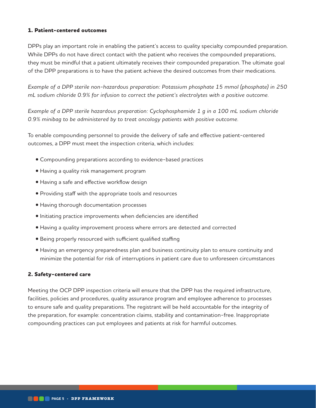#### **1. Patient-centered outcomes**

DPPs play an important role in enabling the patient's access to quality specialty compounded preparation. While DPPs do not have direct contact with the patient who receives the compounded preparations, they must be mindful that a patient ultimately receives their compounded preparation. The ultimate goal of the DPP preparations is to have the patient achieve the desired outcomes from their medications.

*Example of a DPP sterile non-hazardous preparation: Potassium phosphate 15 mmol (phosphate) in 250 mL sodium chloride 0.9% for infusion to correct the patient's electrolytes with a positive outcome.*

*Example of a DPP sterile hazardous preparation: Cyclophosphamide 1 g in a 100 mL sodium chloride 0.9% minibag to be administered by to treat oncology patients with positive outcome.* 

To enable compounding personnel to provide the delivery of safe and effective patient-centered outcomes, a DPP must meet the inspection criteria, which includes:

- Compounding preparations according to evidence-based practices
- Having a quality risk management program
- Having a safe and effective workflow design
- Providing staff with the appropriate tools and resources
- Having thorough documentation processes
- Initiating practice improvements when deficiencies are identified
- Having a quality improvement process where errors are detected and corrected
- Being properly resourced with sufficient qualified staffing
- Having an emergency preparedness plan and business continuity plan to ensure continuity and minimize the potential for risk of interruptions in patient care due to unforeseen circumstances

#### **2. Safety-centered care**

Meeting the OCP DPP inspection criteria will ensure that the DPP has the required infrastructure, facilities, policies and procedures, quality assurance program and employee adherence to processes to ensure safe and quality preparations. The registrant will be held accountable for the integrity of the preparation, for example: concentration claims, stability and contamination-free. Inappropriate compounding practices can put employees and patients at risk for harmful outcomes.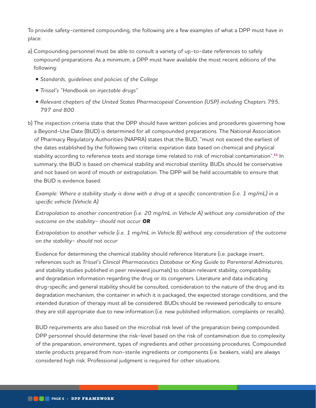To provide safety-centered compounding, the following are a few examples of what a DPP must have in place:

- a) Compounding personnel must be able to consult a variety of up-to-date references to safely compound preparations. As a minimum, a DPP must have available the most recent editions of the following:
	- *Standards, guidelines and policies of the College*
	- *Trissel's "Handbook on injectable drugs"*
	- *Relevant chapters of the United States Pharmacopeial Convention (USP) including Chapters 795, 797 and 800*
- b) The inspection criteria state that the DPP should have written policies and procedures governing how a Beyond-Use Date (BUD) is determined for all compounded preparations. The National Association of Pharmacy Regulatory Authorities (NAPRA) states that the BUD, "must not exceed the earliest of the dates established by the following two criteria: expiration date based on chemical and physical stability according to reference texts and storage time related to risk of microbial contamination".**[11](#page-10-0)** In summary, the BUD is based on chemical stability and microbial sterility. BUDs should be conservative and not based on word of mouth or extrapolation. The DPP will be held accountable to ensure that the BUD is evidence based.

*Example: Where a stability study is done with a drug at a specific concentration (i.e. 1 mg/mL) in a specific vehicle (Vehicle A)* 

*Extrapolation to another concentration (i.e. 20 mg/mL in Vehicle A) without any consideration of the outcome on the stability- should not occur OR*

*Extrapolation to another vehicle (i.e. 1 mg/mL in Vehicle B) without any consideration of the outcome on the stability- should not occur*

Evidence for determining the chemical stability should reference literature (i.e. package insert, references such as *Trissel's Clinical Pharmaceutics Database* or *King Guide to Parenteral Admixtures*, and stability studies published in peer reviewed journals) to obtain relevant stability, compatibility, and degradation information regarding the drug or its congeners. Literature and data indicating drug-specific and general stability should be consulted, consideration to the nature of the drug and its degradation mechanism, the container in which it is packaged, the expected storage conditions, and the intended duration of therapy must all be considered. BUDs should be reviewed periodically to ensure they are still appropriate due to new information (i.e. new published information, complaints or recalls).

BUD requirements are also based on the microbial risk level of the preparation being compounded. DPP personnel should determine the risk-level based on the risk of contamination due to complexity of the preparation, environment, types of ingredients and other processing procedures. Compounded sterile products prepared from non-sterile ingredients or components (i.e. beakers, vials) are always considered high risk. Professional judgment is required for other situations.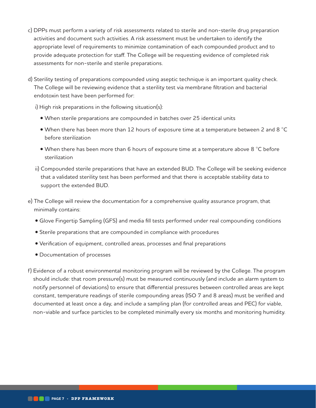- c) DPPs must perform a variety of risk assessments related to sterile and non-sterile drug preparation activities and document such activities. A risk assessment must be undertaken to identify the appropriate level of requirements to minimize contamination of each compounded product and to provide adequate protection for staff. The College will be requesting evidence of completed risk assessments for non-sterile and sterile preparations.
- d) Sterility testing of preparations compounded using aseptic technique is an important quality check. The College will be reviewing evidence that a sterility test via membrane filtration and bacterial endotoxin test have been performed for:
	- i) High risk preparations in the following situation(s):
		- When sterile preparations are compounded in batches over 25 identical units
		- When there has been more than 12 hours of exposure time at a temperature between 2 and 8  $^{\circ}$ C before sterilization
		- When there has been more than 6 hours of exposure time at a temperature above 8  $^{\circ}$ C before sterilization
	- ii) Compounded sterile preparations that have an extended BUD. The College will be seeking evidence that a validated sterility test has been performed and that there is acceptable stability data to support the extended BUD.
- e) The College will review the documentation for a comprehensive quality assurance program, that minimally contains:
	- Glove Fingertip Sampling (GFS) and media fill tests performed under real compounding conditions
	- Sterile preparations that are compounded in compliance with procedures
	- Verification of equipment, controlled areas, processes and final preparations
	- Documentation of processes
- f) Evidence of a robust environmental monitoring program will be reviewed by the College. The program should include: that room pressure(s) must be measured continuously (and include an alarm system to notify personnel of deviations) to ensure that differential pressures between controlled areas are kept constant, temperature readings of sterile compounding areas (ISO 7 and 8 areas) must be verified and documented at least once a day, and include a sampling plan (for controlled areas and PEC) for viable, non-viable and surface particles to be completed minimally every six months and monitoring humidity.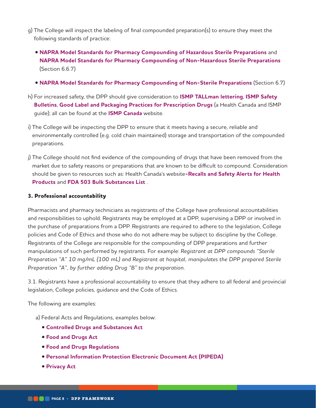- g) The College will inspect the labeling of final compounded preparation(s) to ensure they meet the following standards of practice:
	- **[NAPRA Model Standards for Pharmacy Compounding of Hazardous Sterile Preparations](https://napra.ca/general-practice-resources/model-standards-pharmacy-compounding-hazardous-sterile-preparations)** and **[NAPRA Model Standards for Pharmacy Compounding of Non-Hazardous Sterile Preparations](https://napra.ca/general-practice-resources/model-standards-pharmacy-compounding-non-hazardous-sterile-preparations)** (Section 6.6.7)
	- **[NAPRA Model Standards for Pharmacy Compounding of Non-Sterile Preparations](https://napra.ca/general-practice-resources/model-standards-pharmacy-compounding-non-sterile-preparations)** (Section 6.7)
- h) For increased safety, the DPP should give consideration to **[ISMP TALLman lettering](https://www.ismp-canada.org/download/TALLman/TALLman_lettering.pdf)**, **[ISMP Safety](https://www.ismp-canada.org/ISMPCSafetyBulletins.htm)  [Bulletins](https://www.ismp-canada.org/ISMPCSafetyBulletins.htm)**, **[Good Label and Packaging Practices](https://www.ismp-canada.org/labelpackage/) for Prescription Drugs** (a Health Canada and ISMP guide); all can be found at the **[ISMP Canada](https://www.ismp-canada.org/index.htm)** website.
- i) The College will be inspecting the DPP to ensure that it meets having a secure, reliable and environmentally controlled (e.g. cold chain maintained) storage and transportation of the compounded preparations.
- j) The College should not find evidence of the compounding of drugs that have been removed from the market due to safety reasons or preparations that are known to be difficult to compound. Consideration should be given to resources such as: Health Canada's website**[-Recalls and Safety Alerts for Health](https://healthycanadians.gc.ca/recall-alert-rappel-avis/index-eng.php?cat=3)  [Products](https://healthycanadians.gc.ca/recall-alert-rappel-avis/index-eng.php?cat=3)** and **[FDA 503 Bulk Substances List](https://www.fda.gov/drugs/human-drug-compounding/bulk-drug-substances-used-compounding-under-section-503b-fdc-act)** .

#### **3. Professional accountability**

Pharmacists and pharmacy technicians as registrants of the College have professional accountabilities and responsibilities to uphold. Registrants may be employed at a DPP, supervising a DPP or involved in the purchase of preparations from a DPP. Registrants are required to adhere to the legislation, College policies and Code of Ethics and those who do not adhere may be subject to discipline by the College. Registrants of the College are responsible for the compounding of DPP preparations and further manipulations of such performed by registrants. For example: *Registrant at DPP compounds "Sterile Preparation "A" 10 mg/mL (100 mL) and Registrant at hospital, manipulates the DPP prepared Sterile Preparation "A", by further adding Drug "B" to the preparation.*

3.1. Registrants have a professional accountability to ensure that they adhere to all federal and provincial legislation, College policies, guidance and the Code of Ethics.

The following are examples:

- a) Federal Acts and Regulations, examples below:
	- **[Controlled Drugs and Substances Act](https://laws-lois.justice.gc.ca/eng/acts/c-38.8/)**
	- **[Food and Drugs Act](https://laws-lois.justice.gc.ca/eng/acts/f-27/)**
	- **[Food and Drugs Regulations](https://laws-lois.justice.gc.ca/eng/regulations/c.r.c.%2C_c._870/index.html)**
	- **[Personal Information Protection Electronic Document Act \(PIPEDA\)](https://www.priv.gc.ca/en/privacy-topics/privacy-laws-in-canada/the-personal-information-protection-and-electronic-documents-act-pipeda/)**
	- **[Privacy Act](https://laws-lois.justice.gc.ca/ENG/ACTS/P-21/index.html)**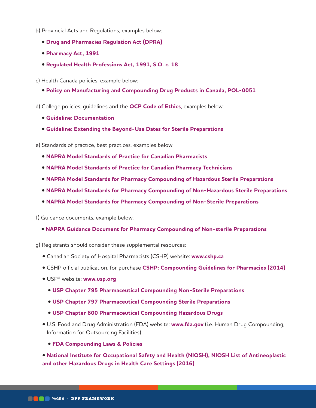- b) Provincial Acts and Regulations, examples below:
	- **[Drug and Pharmacies Regulation Act \(DPRA\)](https://www.ontario.ca/laws/statute/90h04)**
	- **[Pharmacy Act, 1991](https://www.ontario.ca/laws/statute/91p36)**
	- **[Regulated Health Professions Act, 1991, S.O. c. 18](https://www.ontario.ca/laws/statute/91r18)**

c) Health Canada policies, example below:

**• [Policy on Manufacturing and Compounding Drug Products in Canada, POL-0051](https://www.canada.ca/en/health-canada/services/drugs-health-products/compliance-enforcement/good-manufacturing-practices/guidance-documents/policy-manufacturing-compounding-drug-products.html)**

d) College policies, guidelines and the **[OCP Code of Ethics](https://www.ocpinfo.com/library/council/download/CodeofEthics2015.pdf)**, examples below:

- **[Guideline: Documentation](https://www.ocpinfo.com/regulations-standards/practice-policies-guidelines/documentation-guidelines/?hilite=%27documentation%27)**
- **[Guideline: Extending the Beyond-Use Dates for Sterile Preparations](https://www.ocpinfo.com/regulations-standards/practice-policies-guidelines/extending-beyond-use-dates-guideline/?hilite=%27extending%27%2C%27bud%27)**

e) Standards of practice, best practices, examples below:

- **[NAPRA Model Standards of Practice for Canadian Pharmacists](https://www.ocpinfo.com/wp-content/uploads/2022/03/NAPRA-Model-Standards-of-Practice-for-Pharmacists.pdf)**
- **[NAPRA Model Standards of Practice for Canadian Pharmacy Technicians](https://www.ocpinfo.com/wp-content/uploads/2022/03/NAPRA-Model-Standards-of-Practice-for-Pharmacy-Technicians.pdf)**
- **[NAPRA Model Standards for Pharmacy Compounding of Hazardous Sterile Preparations](https://napra.ca/general-practice-resources/model-standards-pharmacy-compounding-hazardous-sterile-preparations)**
- **[NAPRA Model Standards for Pharmacy Compounding of Non-Hazardous Sterile Preparations](https://napra.ca/general-practice-resources/model-standards-pharmacy-compounding-non-hazardous-sterile-preparations)**
- **[NAPRA Model Standards for Pharmacy Compounding of Non-Sterile Preparations](https://napra.ca/general-practice-resources/model-standards-pharmacy-compounding-non-sterile-preparations)**

f) Guidance documents, example below:

**• [NAPRA Guidance Document for Pharmacy Compounding of Non-sterile Preparations](https://napra.ca/general-practice-resources/guidance-document-pharmacy-compounding-non-sterile-preparations)**

g) Registrants should consider these supplemental resources:

- Canadian Society of Hospital Pharmacists (CSHP) website: **[www.cshp.ca](http://www.cshp.ca)**
- CSHP official publication, for purchase **[CSHP: Compounding Guidelines for Pharmacies \(2014\)](https://cshp.ca/compounding-guidelines-pharmacies)**
- USP® website: **[www.usp.org](https://www.usp.org/)**
	- **[USP Chapter 795 Pharmaceutical Compounding Non-Sterile Preparations](https://www.usp.org/compounding/general-chapter-795)**
	- **[USP Chapter 797 Pharmaceutical Compounding Sterile Preparations](https://www.usp.org/compounding/general-chapter-797)**
	- **[USP Chapter 800 Pharmaceutical Compounding Hazardous Drugs](https://www.usp.org/sites/default/files/usp/document/our-work/healthcare-quality-safety/general-chapter-800.pdf)**
- U.S. Food and Drug Administration (FDA) website: **[www.fda.gov](http://www.fda.gov)** (i.e. Human Drug Compounding, Information for Outsourcing Facilities)
	- **[FDA Compounding Laws & Policies](https://www.fda.gov/drugs/human-drug-compounding/compounding-laws-and-policies)**

**• [National Institute for Occupational Safety and Health \(NIOSH\), NIOSH List of Antineoplastic](https://www.cdc.gov/niosh/docs/2016-161/default.html)  [and other Hazardous Drugs in Health Care Settings \(2016\)](https://www.cdc.gov/niosh/docs/2016-161/default.html)**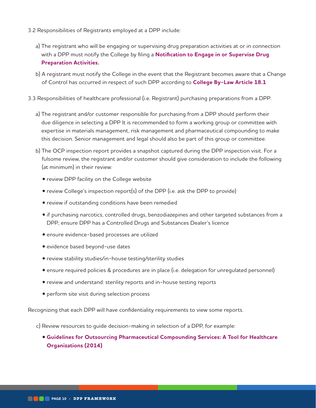- 3.2 Responsibilities of Registrants employed at a DPP include:
	- a) The registrant who will be engaging or supervising drug preparation activities at or in connection with a DPP must notify the College by filing a **[Notification to Engage in or Supervise Drug](https://www.ocpinfo.com/wp-content/uploads/2019/03/Notification-Form-for-Drug-Preparation-Premises.pdf)  [Preparation Activities](https://www.ocpinfo.com/wp-content/uploads/2019/03/Notification-Form-for-Drug-Preparation-Premises.pdf).**
	- b) A registrant must notify the College in the event that the Registrant becomes aware that a Change of Control has occurred in respect of such DPP according to **[College By-Law Article 18.1](https://www.ocpinfo.com/wp-content/uploads/2020/03/ontario-college-of-pharmacists-by-law-No-6.pdf)**
- 3.3 Responsibilities of healthcare professional (i.e. Registrant) purchasing preparations from a DPP:
	- a) The registrant and/or customer responsible for purchasing from a DPP should perform their due diligence in selecting a DPP It is recommended to form a working group or committee with expertise in materials management, risk management and pharmaceutical compounding to make this decision. Senior management and legal should also be part of this group or committee.
	- b) The OCP inspection report provides a snapshot captured during the DPP inspection visit. For a fulsome review, the registrant and/or customer should give consideration to include the following (at minimum) in their review:
		- review DPP facility on the College website
		- review College's inspection report(s) of the DPP (i.e. ask the DPP to provide)
		- review if outstanding conditions have been remedied
		- if purchasing narcotics, controlled drugs, benzodiazepines and other targeted substances from a DPP; ensure DPP has a Controlled Drugs and Substances Dealer's licence
		- ensure evidence-based processes are utilized
		- evidence based beyond-use dates
		- review stability studies/in-house testing/sterility studies
		- ensure required policies & procedures are in place (i.e. delegation for unregulated personnel)
		- review and understand: sterility reports and in-house testing reports
		- perform site visit during selection process

Recognizing that each DPP will have confidentiality requirements to view some reports.

c) Review resources to guide decision-making in selection of a DPP, for example:

• **[Guidelines for Outsourcing Pharmaceutical Compounding Services: A Tool for Healthcare](https://cshp.ca/document/4402/Guidelines-for-Outsourcing-Pharmaceutical-Compounding-Services_201408.pdf)  [Organizations \(2014\)](https://cshp.ca/document/4402/Guidelines-for-Outsourcing-Pharmaceutical-Compounding-Services_201408.pdf)**